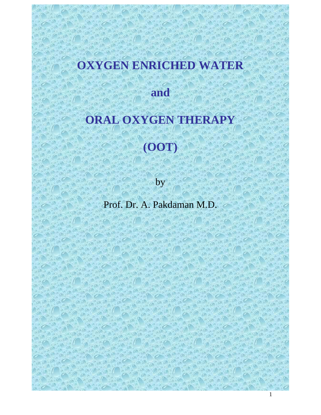# **OXYGEN ENRICHED WATER**

**and** 

# **ORAL OXYGEN THERAPY**

# **(OOT)**

by

Prof. Dr. A. Pakdaman M.D.

1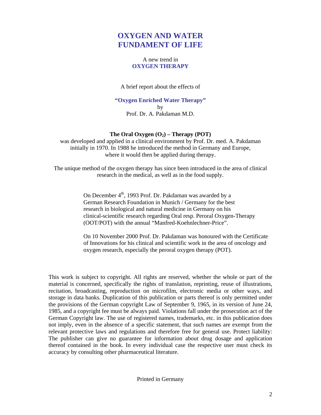# **OXYGEN AND WATER FUNDAMENT OF LIFE**

# A new trend in **OXYGEN THERAPY**

A brief report about the effects of

**"Oxygen Enriched Water Therapy"**  by Prof. Dr. A. Pakdaman M.D.

# The Oral Oxygen  $(O_2)$  – Therapy (POT)

was developed and applied in a clinical environment by Prof. Dr. med. A. Pakdaman initially in 1970. In 1988 he introduced the method in Germany and Europe, where it would then be applied during therapy.

The unique method of the oxygen therapy has since been introduced in the area of clinical research in the medical, as well as in the food supply.

> On December 4<sup>th</sup>, 1993 Prof. Dr. Pakdaman was awarded by a German Research Foundation in Munich / Germany for the best research in biological and natural medicine in Germany on his clinical-scientific research regarding Oral resp. Peroral Oxygen-Therapy (OOT/POT) with the annual "Manfred-Koehnlechner-Price".

On 10 November 2000 Prof. Dr. Pakdaman was honoured with the Certificate of Innovations for his clinical and scientific work in the area of oncology and oxygen research, especially the peroral oxygen therapy (POT).

This work is subject to copyright. All rights are reserved, whether the whole or part of the material is concerned, specifically the rights of translation, reprinting, reuse of illustrations, recitation, broadcasting, reproduction on microfilm, electronic media or other ways, and storage in data banks. Duplication of this publication or parts thereof is only permitted under the provisions of the German copyright Law of September 9, 1965, in its version of June 24, 1985, and a copyright fee must be always paid. Violations fall under the prosecution act of the German Copyright law. The use of registered names, trademarks, etc. in this publication does not imply, even in the absence of a specific statement, that such names are exempt from the relevant protective laws and regulations and therefore free for general use. Protect liability: The publisher can give no guarantee for information about drug dosage and application thereof contained in the book. In every individual case the respective user must check its accuracy by consulting other pharmaceutical literature.

Printed in Germany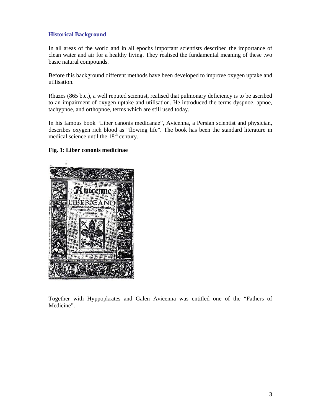# **Historical Background**

In all areas of the world and in all epochs important scientists described the importance of clean water and air for a healthy living. They realised the fundamental meaning of these two basic natural compounds.

Before this background different methods have been developed to improve oxygen uptake and utilisation.

Rhazes (865 b.c.), a well reputed scientist, realised that pulmonary deficiency is to be ascribed to an impairment of oxygen uptake and utilisation. He introduced the terms dyspnoe, apnoe, tachypnoe, and orthopnoe, terms which are still used today.

In his famous book "Liber canonis medicanae", Avicenna, a Persian scientist and physician, describes oxygen rich blood as "flowing life". The book has been the standard literature in medical science until the  $18<sup>th</sup>$  century.

#### **Fig. 1: Liber cononis medicinae**



Together with Hyppopkrates and Galen Avicenna was entitled one of the "Fathers of Medicine".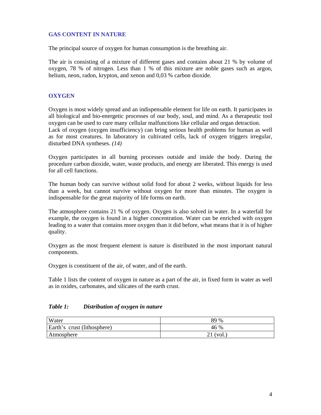# **GAS CONTENT IN NATURE**

The principal source of oxygen for human consumption is the breathing air.

The air is consisting of a mixture of different gases and contains about 21 % by volume of oxygen, 78 % of nitrogen. Less than 1 % of this mixture are noble gases such as argon, helium, neon, radon, krypton, and xenon and 0,03 % carbon dioxide.

#### **OXYGEN**

Oxygen is most widely spread and an indispensable element for life on earth. It participates in all biological and bio-energetic processes of our body, soul, and mind. As a therapeutic tool oxygen can be used to cure many cellular malfunctions like cellular and organ detraction. Lack of oxygen (oxygen insufficiency) can bring serious health problems for human as well as for most creatures. In laboratory in cultivated cells, lack of oxygen triggers irregular, disturbed DNA syntheses. *(14)*

Oxygen participates in all burning processes outside and inside the body. During the procedure carbon dioxide, water, waste products, and energy are liberated. This energy is used for all cell functions.

The human body can survive without solid food for about 2 weeks, without liquids for less than a week, but cannot survive without oxygen for more than minutes. The oxygen is indispensable for the great majority of life forms on earth.

The atmosphere contains 21 % of oxygen. Oxygen is also solved in water. In a waterfall for example, the oxygen is found in a higher concentration. Water can be enriched with oxygen leading to a water that contains more oxygen than it did before, what means that it is of higher quality.

Oxygen as the most frequent element is nature is distributed in the most important natural components.

Oxygen is constituent of the air, of water, and of the earth.

Table 1 lists the content of oxygen in nature as a part of the air, in fixed form in water as well as in oxides, carbonates, and silicates of the earth crust.

#### *Table 1: Distribution of oxygen in nature*

| Water                       | 89 %  |
|-----------------------------|-------|
| Earth's crust (lithosphere) | 46 %  |
| Atmosphere                  | (vol. |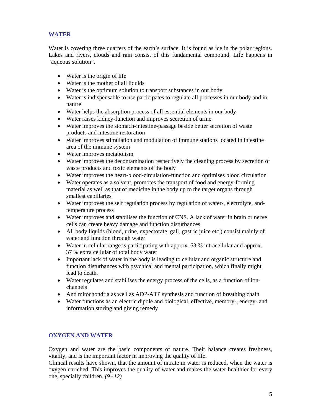# **WATER**

Water is covering three quarters of the earth's surface. It is found as ice in the polar regions. Lakes and rivers, clouds and rain consist of this fundamental compound. Life happens in "aqueous solution".

- Water is the origin of life
- Water is the mother of all liquids
- Water is the optimum solution to transport substances in our body
- Water is indispensable to use participates to regulate all processes in our body and in nature
- Water helps the absorption process of all essential elements in our body
- Water raises kidney-function and improves secretion of urine
- Water improves the stomach-intestine-passage beside better secretion of waste products and intestine restoration
- Water improves stimulation and modulation of immune stations located in intestine area of the immune system
- Water improves metabolism
- Water improves the decontamination respectively the cleaning process by secretion of waste products and toxic elements of the body
- Water improves the heart-blood-circulation-function and optimises blood circulation
- Water operates as a solvent, promotes the transport of food and energy-forming material as well as that of medicine in the body up to the target organs through smallest capillaries
- Water improves the self regulation process by regulation of water-, electrolyte, andtemperature process
- Water improves and stabilises the function of CNS. A lack of water in brain or nerve cells can create heavy damage and function disturbances
- All body liquids (blood, urine, expectorate, gall, gastric juice etc.) consist mainly of water and function through water
- Water in cellular range is participating with approx. 63 % intracellular and approx. 37 % extra cellular of total body water
- Important lack of water in the body is leading to cellular and organic structure and function disturbances with psychical and mental participation, which finally might lead to death.
- Water regulates and stabilises the energy process of the cells, as a function of ionchannels
- And mitochondria as well as ADP-ATP synthesis and function of breathing chain
- Water functions as an electric dipole and biological, effective, memory-, energy- and information storing and giving remedy

# **OXYGEN AND WATER**

Oxygen and water are the basic components of nature. Their balance creates freshness, vitality, and is the important factor in improving the quality of life.

Clinical results have shown, that the amount of nitrate in water is reduced, when the water is oxygen enriched. This improves the quality of water and makes the water healthier for every one, specially children. *(9+12)*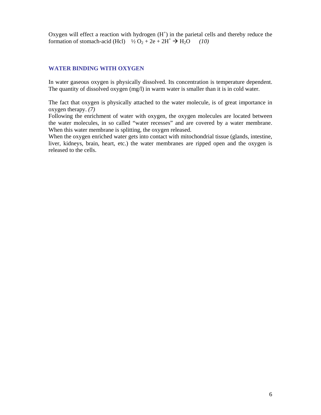Oxygen will effect a reaction with hydrogen  $(H<sup>+</sup>)$  in the parietal cells and thereby reduce the formation of stomach-acid (Hcl)  $\frac{1}{2}O_2 + 2e + 2H^+ \rightarrow H_2O$  (10)

#### **WATER BINDING WITH OXYGEN**

In water gaseous oxygen is physically dissolved. Its concentration is temperature dependent. The quantity of dissolved oxygen (mg/l) in warm water is smaller than it is in cold water.

The fact that oxygen is physically attached to the water molecule, is of great importance in oxygen therapy. *(7)*

Following the enrichment of water with oxygen, the oxygen molecules are located between the water molecules, in so called "water recesses" and are covered by a water membrane. When this water membrane is splitting, the oxygen released.

When the oxygen enriched water gets into contact with mitochondrial tissue (glands, intestine, liver, kidneys, brain, heart, etc.) the water membranes are ripped open and the oxygen is released to the cells.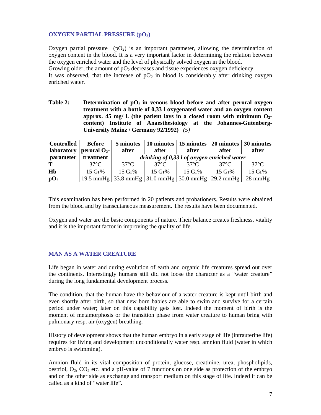### **OXYGEN PARTIAL PRESSURE (pO2)**

Oxygen partial pressure  $(pO_2)$  is an important parameter, allowing the determination of oxygen content in the blood. It is a very important factor in determining the relation between the oxygen enriched water and the level of physically solved oxygen in the blood. Growing older, the amount of  $pO<sub>2</sub>$  decreases and tissue experiences oxygen deficiency.

It was observed, that the increase of  $pO<sub>2</sub>$  in blood is considerably after drinking oxygen enriched water.

**Table 2:** Determination of  $pQ_2$  in venous blood before and after peroral oxygen **treatment with a bottle of 0,33 l oxygenated water and an oxygen content**  approx. 45 mg/ l. (the patient lays in a closed room with minimum  $O_{2}$ **content) Institute of Anaesthesiology at the Johannes-Gutenberg-University Mainz / Germany 92/1992)** *(5)*

| <b>Controlled</b> | <b>Before</b><br>laboratory   peroral $O_{2}$ - | 5 minutes<br>after                                                                           | after             | 10 minutes   15 minutes   20 minutes   30 minutes<br>after |                   | after          |  |
|-------------------|-------------------------------------------------|----------------------------------------------------------------------------------------------|-------------------|------------------------------------------------------------|-------------------|----------------|--|
| parameter         | treatment                                       | drinking of 0,33 l of oxygen enriched water                                                  |                   |                                                            |                   |                |  |
| Т                 | $37^{\circ}$ C                                  | $37^{\circ}$ C                                                                               | 37° $C$           | 37°C                                                       | $37^{\circ}$ C    | $37^{\circ}$ C |  |
| H <sub>b</sub>    | 15 Gr%                                          | $15 \text{ Gr\%}$                                                                            | $15 \text{ Gr\%}$ | $15 \text{ Gr\%}$                                          | $15 \text{ Gr\%}$ | 15 Gr%         |  |
| pO <sub>2</sub>   |                                                 | 19.5 mmHg $\mid$ 33.8 mmHg $\mid$ 31.0 mmHg $\mid$ 30.0 mmHg $\mid$ 29.2 mmHg $\mid$ 28 mmHg |                   |                                                            |                   |                |  |

This examination has been performed in 20 patients and probationers. Results were obtained from the blood and by transcutaneous measurement. The results have been documented.

Oxygen and water are the basic components of nature. Their balance creates freshness, vitality and it is the important factor in improving the quality of life.

#### **MAN AS A WATER CREATURE**

Life began in water and during evolution of earth and organic life creatures spread out over the continents. Interestingly humans still did not loose the character as a "water creature" during the long fundamental development process.

The condition, that the human have the behaviour of a water creature is kept until birth and even shortly after birth, so that new born babies are able to swim and survive for a certain period under water; later on this capability gets lost. Indeed the moment of birth is the moment of metamorphosis or the transition phase from water creature to human bring with pulmonary resp. air (oxygen) breathing.

History of development shows that the human embryo in a early stage of life (intrauterine life) requires for living and development unconditionally water resp. amnion fluid (water in which embryo is swimming).

Amnion fluid in its vital composition of protein, glucose, creatinine, urea, phospholipids, oestriol,  $O_2$ ,  $CO_2$  etc. and a pH-value of 7 functions on one side as protection of the embryo and on the other side as exchange and transport medium on this stage of life. Indeed it can be called as a kind of "water life".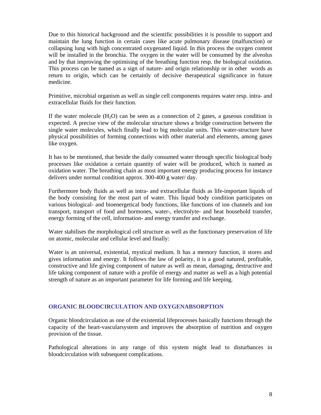Due to this historical background and the scientific possibilities it is possible to support and maintain the lung function in certain cases like acute pulmonary disease (malfunction) or collapsing lung with high concentrated oxygenated liquid. In this process the oxygen content will be installed in the bronchia. The oxygen in the water will be consumed by the alveolus and by that improving the optimising of the breathing function resp. the biological oxidation. This process can be named as a sign of nature- and origin relationship or in other words as return to origin, which can be certainly of decisive therapeutical significance in future medicine.

Primitive, microbial organism as well as single cell components requires water resp. intra- and extracellular fluids for their function.

If the water molecule  $(H_2O)$  can be seen as a connection of 2 gases, a gaseous condition is expected. A precise view of the molecular structure shows a bridge construction between the single water molecules, which finally lead to big molecular units. This water-structure have physical possibilities of forming connections with other material and elements, among gases like oxygen.

It has to be mentioned, that beside the daily consumed water through specific biological body processes like oxidation a certain quantity of water will be produced, which is named as oxidation water. The breathing chain as most important energy producing process for instance delivers under normal condition approx. 300-400 g water/ day.

Furthermore body fluids as well as intra- and extracellular fluids as life-important liquids of the body consisting for the most part of water. This liquid body condition participates on various biological- and bioenergetical body functions, like functions of ion channels and ion transport, transport of food and hormones, water-, electrolyte- and heat household transfer, energy forming of the cell, information- and energy transfer and exchange.

Water stabilises the morphological cell structure as well as the functionary preservation of life on atomic, molecular and cellular level and finally:

Water is an universal, existential, mystical medium. It has a memory function, it stores and gives information and energy. It follows the law of polarity, it is a good natured, profitable, constructive and life giving component of nature as well as mean, damaging, destructive and life taking component of nature with a profile of energy and matter as well as a high potential strength of nature as an important parameter for life forming and life keeping.

# **ORGANIC BLOODCIRCULATION AND OXYGENABSORPTION**

Organic bloodcirculation as one of the existential lifeprocesses basically functions through the capacity of the heart-vascularsystem and improves the absorption of nutrition and oxygen provision of the tissue.

Pathological alterations in any range of this system might lead to disturbances in bloodcirculation with subsequent complications.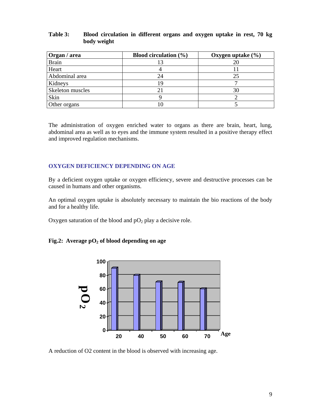#### **Table 3: Blood circulation in different organs and oxygen uptake in rest, 70 kg body weight**

| Organ / area     | Blood circulation $(\% )$ | Oxygen uptake $(\% )$ |
|------------------|---------------------------|-----------------------|
| <b>Brain</b>     |                           | 20                    |
| Heart            |                           |                       |
| Abdominal area   | 24                        | 25                    |
| Kidneys          |                           |                       |
| Skeleton muscles |                           | 30                    |
| Skin             |                           |                       |
| Other organs     |                           |                       |

The administration of oxygen enriched water to organs as there are brain, heart, lung, abdominal area as well as to eyes and the immune system resulted in a positive therapy effect and improved regulation mechanisms.

#### **OXYGEN DEFICIENCY DEPENDING ON AGE**

By a deficient oxygen uptake or oxygen efficiency, severe and destructive processes can be caused in humans and other organisms.

An optimal oxygen uptake is absolutely necessary to maintain the bio reactions of the body and for a healthy life.

Oxygen saturation of the blood and  $pO<sub>2</sub>$  play a decisive role.

#### Fig.2: Average  $pO<sub>2</sub>$  of blood depending on age

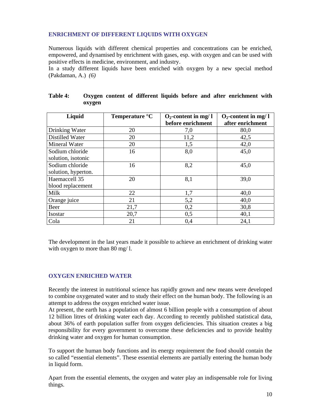## **ENRICHMENT OF DIFFERENT LIQUIDS WITH OXYGEN**

Numerous liquids with different chemical properties and concentrations can be enriched, empowered, and dynamised by enrichment with gases, esp. with oxygen and can be used with positive effects in medicine, environment, and industry.

In a study different liquids have been enriched with oxygen by a new special method (Pakdaman, A.) *(6)*

| Liquid              | Temperature $\mathrm{C}$ | $O_2$ -content in mg/l | $O_2$ -content in mg/ l |
|---------------------|--------------------------|------------------------|-------------------------|
|                     |                          | before enrichment      | after enrichment        |
| Drinking Water      | 20                       | 7,0                    | 80,0                    |
| Distilled Water     | 20                       | 11,2                   | 42,5                    |
| Mineral Water       | 20                       | 1,5                    | 42,0                    |
| Sodium chloride     | 16                       | 8,0                    | 45,0                    |
| solution, isotonic  |                          |                        |                         |
| Sodium chloride     | 16                       | 8,2                    | 45,0                    |
| solution, hyperton. |                          |                        |                         |
| Haemaccell 35       | 20                       | 8,1                    | 39,0                    |
| blood replacement   |                          |                        |                         |
| Milk                | 22                       | 1,7                    | 40,0                    |
| Orange juice        | 21                       | 5,2                    | 40,0                    |
| Beer                | 21,7                     | 0,2                    | 30,8                    |
| Isostar             | 20,7                     | 0,5                    | 40,1                    |
| Cola                | 21                       | 0,4                    | 24,1                    |

| <b>Table 4:</b> |        |  |  |  | Oxygen content of different liquids before and after enrichment with |  |
|-----------------|--------|--|--|--|----------------------------------------------------------------------|--|
|                 | oxygen |  |  |  |                                                                      |  |

The development in the last years made it possible to achieve an enrichment of drinking water with oxygen to more than 80 mg/ l.

#### **OXYGEN ENRICHED WATER**

Recently the interest in nutritional science has rapidly grown and new means were developed to combine oxygenated water and to study their effect on the human body. The following is an attempt to address the oxygen enriched water issue.

At present, the earth has a population of almost 6 billion people with a consumption of about 12 billion litres of drinking water each day. According to recently published statistical data, about 36% of earth population suffer from oxygen deficiencies. This situation creates a big responsibility for every government to overcome these deficiencies and to provide healthy drinking water and oxygen for human consumption.

To support the human body functions and its energy requirement the food should contain the so called "essential elements". These essential elements are partially entering the human body in liquid form.

Apart from the essential elements, the oxygen and water play an indispensable role for living things.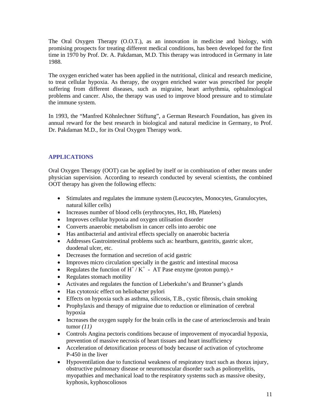The Oral Oxygen Therapy (O.O.T.), as an innovation in medicine and biology, with promising prospects for treating different medical conditions, has been developed for the first time in 1970 by Prof. Dr. A. Pakdaman, M.D. This therapy was introduced in Germany in late 1988.

The oxygen enriched water has been applied in the nutritional, clinical and research medicine, to treat cellular hypoxia. As therapy, the oxygen enriched water was prescribed for people suffering from different diseases, such as migraine, heart arrhythmia, ophtalmological problems and cancer. Also, the therapy was used to improve blood pressure and to stimulate the immune system.

In 1993, the "Manfred Köhnlechner Stiftung", a German Research Foundation, has given its annual reward for the best research in biological and natural medicine in Germany, to Prof. Dr. Pakdaman M.D., for its Oral Oxygen Therapy work.

# **APPLICATIONS**

Oral Oxygen Therapy (OOT) can be applied by itself or in combination of other means under physician supervision. According to research conducted by several scientists, the combined OOT therapy has given the following effects:

- Stimulates and regulates the immune system (Leucocytes, Monocytes, Granulocytes, natural killer cells)
- Increases number of blood cells (erythrocytes, Hct, Hb, Platelets)
- Improves cellular hypoxia and oxygen utilisation disorder
- Converts anaerobic metabolism in cancer cells into aerobic one
- Has antibacterial and antiviral effects specially on anaerobic bacteria
- Addresses Gastrointestinal problems such as: heartburn, gastritis, gastric ulcer, duodenal ulcer, etc.
- Decreases the formation and secretion of acid gastric
- Improves micro circulation specially in the gastric and intestinal mucosa
- Regulates the function of  $H^+/K^+$  AT Pase enzyme (proton pump).+
- Regulates stomach motility
- Activates and regulates the function of Lieberkuhn's and Brunner's glands
- Has cytotoxic effect on heliobacter pylori
- Effects on hypoxia such as asthma, silicosis, T.B., cystic fibrosis, chain smoking
- Prophylaxis and therapy of migraine due to reduction or elimination of cerebral hypoxia
- Increases the oxygen supply for the brain cells in the case of arteriosclerosis and brain tumor *(11)*
- Controls Angina pectoris conditions because of improvement of myocardial hypoxia, prevention of massive necrosis of heart tissues and heart insufficiency
- Acceleration of detoxification process of body because of activation of cytochrome P-450 in the liver
- Hypoventilation due to functional weakness of respiratory tract such as thorax injury, obstructive pulmonary disease or neuromuscular disorder such as poliomyelitis, myopathies and mechanical load to the respiratory systems such as massive obesity, kyphosis, kyphoscoliosos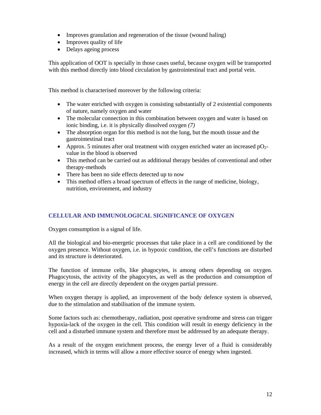- Improves granulation and regeneration of the tissue (wound haling)
- Improves quality of life
- Delays ageing process

This application of OOT is specially in those cases useful, because oxygen will be transported with this method directly into blood circulation by gastrointestinal tract and portal vein.

This method is characterised moreover by the following criteria:

- The water enriched with oxygen is consisting substantially of 2 existential components of nature, namely oxygen and water
- The molecular connection in this combination between oxygen and water is based on ionic binding, i.e. it is physically dissolved oxygen *(7)*
- The absorption organ for this method is not the lung, but the mouth tissue and the gastrointestinal tract
- Approx. 5 minutes after oral treatment with oxygen enriched water an increased  $pO<sub>2</sub>$ value in the blood is observed
- This method can be carried out as additional therapy besides of conventional and other therapy-methods
- There has been no side effects detected up to now
- This method offers a broad spectrum of effects in the range of medicine, biology, nutrition, environment, and industry

# **CELLULAR AND IMMUNOLOGICAL SIGNIFICANCE OF OXYGEN**

Oxygen consumption is a signal of life.

All the biological and bio-energetic processes that take place in a cell are conditioned by the oxygen presence. Without oxygen, i.e. in hypoxic condition, the cell's functions are disturbed and its structure is deteriorated.

The function of immune cells, like phagocytes, is among others depending on oxygen. Phagocytosis, the activity of the phagocytes, as well as the production and consumption of energy in the cell are directly dependent on the oxygen partial pressure.

When oxygen therapy is applied, an improvement of the body defence system is observed, due to the stimulation and stabilisation of the immune system.

Some factors such as: chemotherapy, radiation, post operative syndrome and stress can trigger hypoxia-lack of the oxygen in the cell. This condition will result in energy deficiency in the cell and a disturbed immune system and therefore must be addressed by an adequate therapy.

As a result of the oxygen enrichment process, the energy lever of a fluid is considerably increased, which in terms will allow a more effective source of energy when ingested.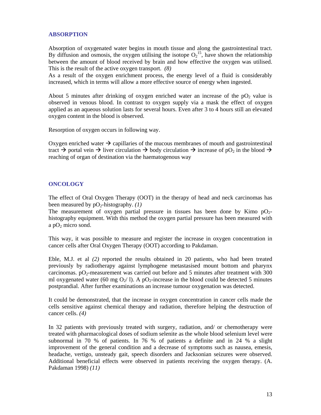#### **ABSORPTION**

Absorption of oxygenated water begins in mouth tissue and along the gastrointestinal tract. By diffusion and osmosis, the oxygen utilising the isotope  $O_2$ <sup>15</sup>, have shown the relationship between the amount of blood received by brain and how effective the oxygen was utilised. This is the result of the active oxygen transport. *(8)*

As a result of the oxygen enrichment process, the energy level of a fluid is considerably increased, which in terms will allow a more effective source of energy when ingested.

About 5 minutes after drinking of oxygen enriched water an increase of the  $pO<sub>2</sub>$  value is observed in venous blood. In contrast to oxygen supply via a mask the effect of oxygen applied as an aqueous solution lasts for several hours. Even after 3 to 4 hours still an elevated oxygen content in the blood is observed.

Resorption of oxygen occurs in following way.

Oxygen enriched water  $\rightarrow$  capillaries of the mucous membranes of mouth and gastrointestinal tract  $\rightarrow$  portal vein  $\rightarrow$  liver circulation  $\rightarrow$  body circulation  $\rightarrow$  increase of pO<sub>2</sub> in the blood  $\rightarrow$ reaching of organ of destination via the haematogenous way

#### **ONCOLOGY**

The effect of Oral Oxygen Therapy (OOT) in the therapy of head and neck carcinomas has been measured by  $pO_2$ -histography. *(1)* 

The measurement of oxygen partial pressure in tissues has been done by Kimo  $pO<sub>2</sub>$ histography equipment. With this method the oxygen partial pressure has been measured with a  $pO_2$  micro sond.

This way, it was possible to measure and register the increase in oxygen concentration in cancer cells after Oral Oxygen Therapy (OOT) according to Pakdaman.

Eble, M.J. et al *(2)* reported the results obtained in 20 patients, who had been treated previously by radiotherapy against lymphogene metastasised mount bottom and pharynx carcinomas.  $pO<sub>2</sub>$ -measurement was carried out before and 5 minutes after treatment with 300 ml oxygenated water (60 mg  $O_2/$  l). A p $O_2$ -increase in the blood could be detected 5 minutes postprandial. After further examinations an increase tumour oxygenation was detected.

It could be demonstrated, that the increase in oxygen concentration in cancer cells made the cells sensitive against chemical therapy and radiation, therefore helping the destruction of cancer cells. *(4)*

In 32 patients with previously treated with surgery, radiation, and/ or chemotherapy were treated with pharmacological doses of sodium selenite as the whole blood selenium level were subnormal in 70 % of patients. In 76 % of patients a definite and in 24 % a slight improvement of the general condition and a decrease of symptoms such as nausea, emesis, headache, vertigo, unsteady gait, speech disorders and Jacksonian seizures were observed. Additional beneficial effects were observed in patients receiving the oxygen therapy. (A. Pakdaman 1998) *(11)*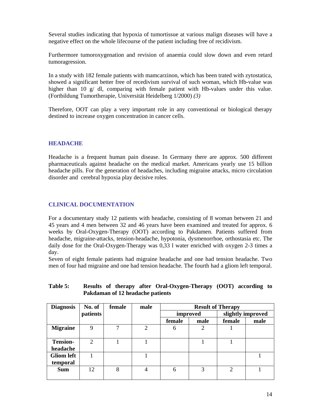Several studies indicating that hypoxia of tumortissue at various malign diseases will have a negative effect on the whole lifecourse of the patient including free of recidivism.

Furthermore tumoroxygenation and revision of anaemia could slow down and even retard tumoragression.

In a study with 182 female patients with mamcarzinon, which has been trated with zytostatica, showed a significant better free of recedivism survival of such woman, which Hb-value was higher than 10 g/ dl, comparing with female patient with Hb-values under this value. (Fortbildung Tumortherapie, Universität Heidelberg 1/2000) *(3)*

Therefore, OOT can play a very important role in any conventional or biological therapy destined to increase oxygen concentration in cancer cells.

#### **HEADACHE**

Headache is a frequent human pain disease. In Germany there are approx. 500 different pharmaceuticals against headache on the medical market. Americans yearly use 15 billion headache pills. For the generation of headaches, including migraine attacks, micro circulation disorder and cerebral hypoxia play decisive roles.

## **CLINICAL DOCUMENTATION**

For a documentary study 12 patients with headache, consisting of 8 woman between 21 and 45 years and 4 men between 32 and 46 years have been examined and treated for approx. 6 weeks by Oral-Oxygen-Therapy (OOT) according to Pakdamen. Patients suffered from headache, migraine-attacks, tension-headache, hypotonia, dysmenorrhoe, orthostasia etc. The daily dose for the Oral-Oxygen-Therapy was 0,33 l water enriched with oxygen 2-3 times a day.

Seven of eight female patients had migraine headache and one had tension headache. Two men of four had migraine and one had tension headache. The fourth had a gliom left temporal.

| <b>Diagnosis</b>  | No. of         | female | male           | <b>Result of Therapy</b> |          |                |                   |
|-------------------|----------------|--------|----------------|--------------------------|----------|----------------|-------------------|
|                   | patients       |        |                |                          | improved |                | slightly improved |
|                   |                |        |                | female                   | male     | female         | male              |
| <b>Migraine</b>   | 9              | ┑      | $\overline{2}$ | 6                        | 2        |                |                   |
| <b>Tension-</b>   | $\overline{2}$ |        |                |                          |          |                |                   |
| headache          |                |        |                |                          |          |                |                   |
| <b>Gliom left</b> |                |        |                |                          |          |                |                   |
| temporal          |                |        |                |                          |          |                |                   |
| <b>Sum</b>        | 12             | 8      | $\overline{4}$ | 6                        | 3        | $\overline{2}$ |                   |

### **Table 5: Results of therapy after Oral-Oxygen-Therapy (OOT) according to Pakdaman of 12 headache patients**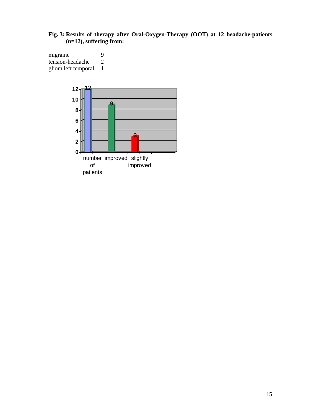# **Fig. 3: Results of therapy after Oral-Oxygen-Therapy (OOT) at 12 headache-patients (n=12), suffering from:**

migraine 9<br>tension-headache 2 tension-headache 2<br>gliom left temporal 1 gliom left temporal 1

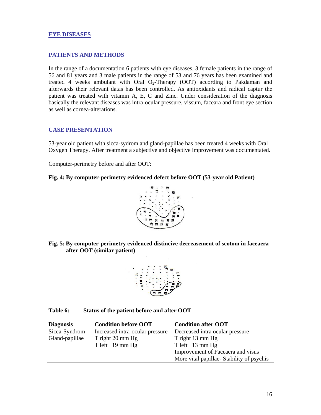#### **EYE DISEASES**

#### **PATIENTS AND METHODS**

In the range of a documentation 6 patients with eye diseases, 3 female patients in the range of 56 and 81 years and 3 male patients in the range of 53 and 76 years has been examined and treated 4 weeks ambulant with Oral  $O_2$ -Therapy (OOT) according to Pakdaman and afterwards their relevant datas has been controlled. As antioxidants and radical captur the patient was treated with vitamin A, E, C and Zinc. Under consideration of the diagnosis basically the relevant diseases was intra-ocular pressure, vissum, faceara and front eye section as well as cornea-alterations.

#### **CASE PRESENTATION**

53-year old patient with sicca-sydrom and gland-papillae has been treated 4 weeks with Oral Oxygen Therapy. After treatment a subjective and objective improvement was documentated.

Computer-perimetry before and after OOT:

#### **Fig. 4: By computer-perimetry evidenced defect before OOT (53-year old Patient)**



**Fig. 5: By computer-perimetry evidenced distincive decreasement of scotom in faceaera after OOT (similar patient)** 



#### **Table 6: Status of the patient before and after OOT**

| <b>Diagnosis</b> | <b>Condition before OOT</b>     | <b>Condition after OOT</b>               |
|------------------|---------------------------------|------------------------------------------|
| Sicca-Syndrom    | Increased intra-ocular pressure | Decreased intra ocular pressure          |
| Gland-papillae   | T right 20 mm Hg                | T right 13 mm Hg                         |
|                  | T left 19 mm Hg                 | $\vert$ T left 13 mm Hg                  |
|                  |                                 | Improvement of Faceaera and visus        |
|                  |                                 | More vital papillae-Stability of psychis |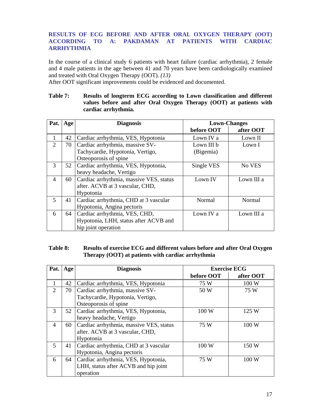# **RESULTS OF ECG BEFORE AND AFTER ORAL OXYGEN THERAPY (OOT) ACCORDING TO A: PAKDAMAN AT PATIENTS WITH CARDIAC ARRHYTHMIA**

In the course of a clinical study 6 patients with heart failure (cardiac arrhythmia), 2 female and 4 male patients in the age between 41 and 70 years have been cardiologically examined and treated with Oral Oxygen Therapy (OOT). *(13)*

After OOT significant improvements could be evidenced and documented.

#### **Table 7: Results of longterm ECG according to Lown classification and different values before and after Oral Oxygen Therapy (OOT) at patients with cardiac arrhythmia.**

| Pat.           | Age | <b>Diagnosis</b>                        | <b>Lown-Changes</b> |            |  |
|----------------|-----|-----------------------------------------|---------------------|------------|--|
|                |     |                                         | before OOT          | after OOT  |  |
|                | 42  | Cardiac arrhythmia, VES, Hypotonia      | Lown IV a           | Lown II    |  |
| $\overline{2}$ | 70  | Cardiac arrhythmia, massive SV-         | Lown III b          | Lown I     |  |
|                |     | Tachycardie, Hypotonia, Vertigo,        | (Bigemia)           |            |  |
|                |     | Osteoporosis of spine                   |                     |            |  |
| 3              | 52  | Cardiac arrhythmia, VES, Hypotonia,     | Single VES          | No VES     |  |
|                |     | heavy headache, Vertigo                 |                     |            |  |
| $\overline{4}$ | 60  | Cardiac arrhythmia, massive VES, status | Lown IV             | Lown III a |  |
|                |     | after. ACVB at 3 vascular, CHD,         |                     |            |  |
|                |     | Hypotonia                               |                     |            |  |
| 5              | 41  | Cardiac arrhythmia, CHD at 3 vascular   | Normal              | Normal     |  |
|                |     | Hypotonia, Angina pectoris              |                     |            |  |
| 6              | 64  | Cardiac arrhythmia, VES, CHD,           | Lown IV a           | Lown III a |  |
|                |     | Hypotonia, LHH, status after ACVB and   |                     |            |  |
|                |     | hip joint operation                     |                     |            |  |

# **Table 8: Results of exercise ECG and different values before and after Oral Oxygen Therapy (OOT) at patients with cardiac arrhythmia**

| Pat. | Age | <b>Diagnosis</b>                        | <b>Exercise ECG</b> |           |
|------|-----|-----------------------------------------|---------------------|-----------|
|      |     |                                         | before OOT          | after OOT |
| 1    | 42  | Cardiac arrhythmia, VES, Hypotonia      | 75 W                | 100 W     |
| 2    | 70  | Cardiac arrhythmia, massive SV-         | 50 W                | 75 W      |
|      |     | Tachycardie, Hypotonia, Vertigo,        |                     |           |
|      |     | Osteoporosis of spine                   |                     |           |
| 3    | 52  | Cardiac arrhythmia, VES, Hypotonia,     | 100 W               | 125 W     |
|      |     | heavy headache, Vertigo                 |                     |           |
| 4    | 60  | Cardiac arrhythmia, massive VES, status | 75 W                | 100 W     |
|      |     | after. ACVB at 3 vascular, CHD,         |                     |           |
|      |     | Hypotonia                               |                     |           |
| 5    | 41  | Cardiac arrhythmia, CHD at 3 vascular   | 100 W               | 150 W     |
|      |     | Hypotonia, Angina pectoris              |                     |           |
| 6    | 64  | Cardiac arrhythmia, VES, Hypotonia,     | 75 W                | 100 W     |
|      |     | LHH, status after ACVB and hip joint    |                     |           |
|      |     | operation                               |                     |           |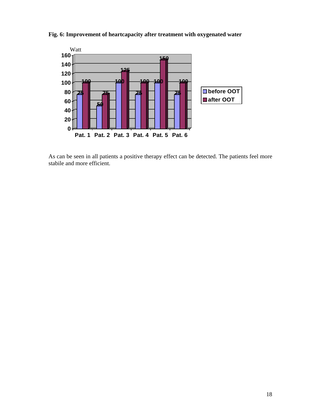

**Fig. 6: Improvement of heartcapacity after treatment with oxygenated water** 

As can be seen in all patients a positive therapy effect can be detected. The patients feel more stabile and more efficient.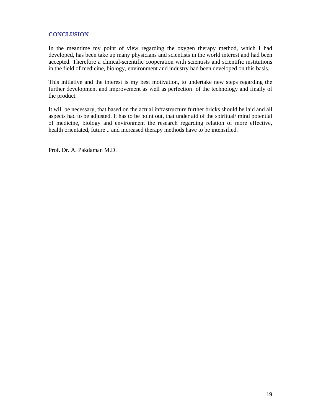# **CONCLUSION**

In the meantime my point of view regarding the oxygen therapy method, which I had developed, has been take up many physicians and scientists in the world interest and had been accepted. Therefore a clinical-scientific cooperation with scientists and scientific institutions in the field of medicine, biology, environment and industry had been developed on this basis.

This initiative and the interest is my best motivation, to undertake new steps regarding the further development and improvement as well as perfection of the technology and finally of the product.

It will be necessary, that based on the actual infrastructure further bricks should be laid and all aspects had to be adjusted. It has to be point out, that under aid of the spiritual/ mind potential of medicine, biology and environment the research regarding relation of more effective, health orientated, future .. and increased therapy methods have to be intensified.

Prof. Dr. A. Pakdaman M.D.